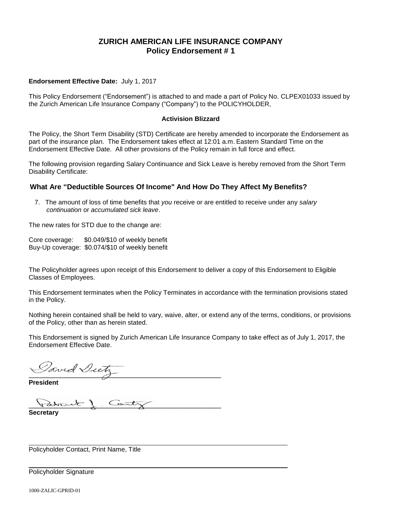## **ZURICH AMERICAN LIFE INSURANCE COMPANY Policy Endorsement # 1**

#### **Endorsement Effective Date:** July 1, 2017

This Policy Endorsement ("Endorsement") is attached to and made a part of Policy No. CLPEX01033 issued by the Zurich American Life Insurance Company ("Company") to the POLICYHOLDER,

#### **Activision Blizzard**

The Policy, the Short Term Disability (STD) Certificate are hereby amended to incorporate the Endorsement as part of the insurance plan. The Endorsement takes effect at 12:01 a.m. Eastern Standard Time on the Endorsement Effective Date. All other provisions of the Policy remain in full force and effect.

The following provision regarding Salary Continuance and Sick Leave is hereby removed from the Short Term Disability Certificate:

#### **What Are "Deductible Sources Of Income" And How Do They Affect My Benefits?**

7. The amount of loss of time benefits that *you* receive or are entitled to receive under any *salary continuation* or *accumulated sick leave*.

The new rates for STD due to the change are:

Core coverage: \$0.049/\$10 of weekly benefit Buy-Up coverage: \$0.074/\$10 of weekly benefit

The Policyholder agrees upon receipt of this Endorsement to deliver a copy of this Endorsement to Eligible Classes of Employees.

This Endorsement terminates when the Policy Terminates in accordance with the termination provisions stated in the Policy.

Nothing herein contained shall be held to vary, waive, alter, or extend any of the terms, conditions, or provisions of the Policy, other than as herein stated.

This Endorsement is signed by Zurich American Life Insurance Company to take effect as of July 1, 2017, the Endorsement Effective Date.

**\_\_\_\_\_\_\_\_\_\_\_\_\_\_\_\_\_\_\_\_\_\_\_\_\_\_\_\_\_\_\_\_\_\_\_\_\_\_\_\_\_\_\_\_\_\_\_\_\_\_\_\_\_\_\_\_\_\_\_**

**President**

atourle 1 Cant

**Secretary**

Policyholder Contact, Print Name, Title

Policyholder Signature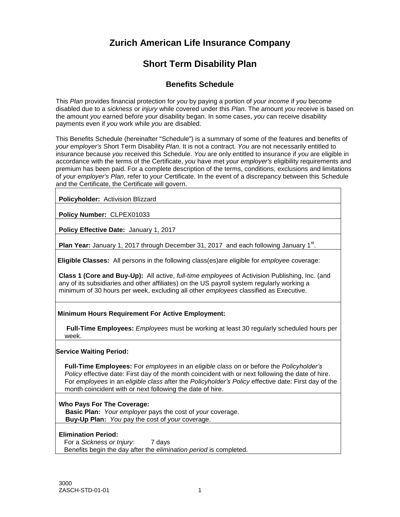# **Zurich American Life Insurance Company**

# **Short Term Disability Plan**

## **Benefits Schedule**

This *Plan* provides financial protection for *you* by paying a portion of *your income* if *you* become disabled due to a *sickness* or *injury* while covered under this *Plan*. The amount *you* receive is based on the amount *you* earned before *your* disability began. In some cases, *you* can receive disability payments even if *you* work while *you* are disabled.

This Benefits Schedule (hereinafter "Schedule") is a summary of some of the features and benefits of *your employer's* Short Term Disability *Plan*. It is not a contract. *You* are not necessarily entitled to insurance because *you* received this Schedule. *You* are only entitled to insurance if *you* are eligible in accordance with the terms of the Certificate, *you* have met *your employer's* eligibility requirements and premium has been paid. For a complete description of the terms, conditions, exclusions and limitations of *your employer's Plan*, refer to *your* Certificate. In the event of a discrepancy between this Schedule and the Certificate, the Certificate will govern.

**Policyholder:** Activision Blizzard

**Policy Number:** CLPEX01033

**Policy Effective Date:** January 1, 2017

Plan Year: January 1, 2017 through December 31, 2017 and each following January 1<sup>st</sup>.

**Eligible Classes:** All persons in the following class(es)are eligible for *employee* coverage:

**Class 1 (Core and Buy-Up):** All active, *full-time employees* of Activision Publishing, Inc. (and any of its subsidiaries and other affiliates) on the US payroll system regularly working a minimum of 30 hours per week, excluding all other *employees* classified as Executive.

#### **Minimum Hours Requirement For Active Employment:**

**Full-Time Employees:** *Employees* must be working at least 30 regularly scheduled hours per week.

#### **Service Waiting Period:**

**Full-Time Employees:** For *employees* in an *eligible class* on or before the *Policyholder's Policy* effective date: First day of the month coincident with or next following the date of hire. For *employees* in an *eligible class* after the *Policyholder's Policy* effective date: First day of the month coincident with or next following the date of hire.

#### **Who Pays For The Coverage:**

 **Basic Plan:** *Your employer* pays the cost of *your* coverage.  **Buy-Up Plan:** *You* pay the cost of *your* coverage.

#### **Elimination Period:**

For a *Sickness or Injury*: 7 days Benefits begin the day after the *elimination period* is completed.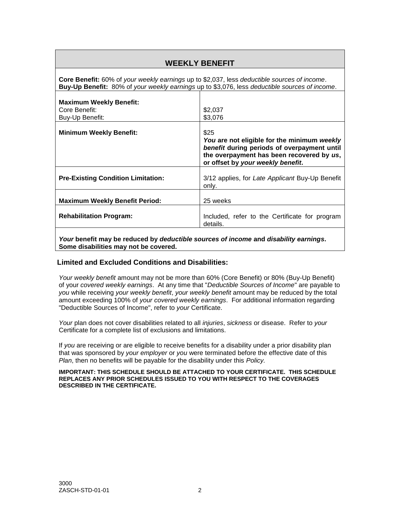| <b>WEEKLY BENEFIT</b>                                                                                                                                                                               |                                                                                                                                                                                      |
|-----------------------------------------------------------------------------------------------------------------------------------------------------------------------------------------------------|--------------------------------------------------------------------------------------------------------------------------------------------------------------------------------------|
| <b>Core Benefit:</b> 60% of your weekly earnings up to \$2,037, less deductible sources of income.<br>Buy-Up Benefit: 80% of your weekly earnings up to \$3,076, less deductible sources of income. |                                                                                                                                                                                      |
| <b>Maximum Weekly Benefit:</b><br>Core Benefit:<br>Buy-Up Benefit:                                                                                                                                  | \$2,037<br>\$3,076                                                                                                                                                                   |
| <b>Minimum Weekly Benefit:</b>                                                                                                                                                                      | \$25<br>You are not eligible for the minimum weekly<br>benefit during periods of overpayment until<br>the overpayment has been recovered by us,<br>or offset by your weekly benefit. |
| <b>Pre-Existing Condition Limitation:</b>                                                                                                                                                           | 3/12 applies, for Late Applicant Buy-Up Benefit<br>only.                                                                                                                             |
| <b>Maximum Weekly Benefit Period:</b>                                                                                                                                                               | 25 weeks                                                                                                                                                                             |
| <b>Rehabilitation Program:</b>                                                                                                                                                                      | Included, refer to the Certificate for program<br>details.                                                                                                                           |
|                                                                                                                                                                                                     |                                                                                                                                                                                      |

*Your* **benefit may be reduced by** *deductible sources of income* **and** *disability earnings***. Some disabilities may not be covered.**

## **Limited and Excluded Conditions and Disabilities:**

*Your weekly benefit* amount may not be more than 60% (Core Benefit) or 80% (Buy-Up Benefit) of your *covered weekly earnings*. At any time that "*Deductible Sources of Income*" are payable to *you* while receiving *your weekly benefit*, *your weekly benefit* amount may be reduced by the total amount exceeding 100% of *your covered weekly earnings*. For additional information regarding "Deductible Sources of Income", refer to *your* Certificate.

*Your* plan does not cover disabilities related to all *injuries*, *sickness* or disease. Refer to *your* Certificate for a complete list of exclusions and limitations.

If *you* are receiving or are eligible to receive benefits for a disability under a prior disability plan that was sponsored by *your employer* or *you* were terminated before the effective date of this *Plan*, then no benefits will be payable for the disability under this *Policy.*

#### **IMPORTANT: THIS SCHEDULE SHOULD BE ATTACHED TO YOUR CERTIFICATE. THIS SCHEDULE REPLACES ANY PRIOR SCHEDULES ISSUED TO YOU WITH RESPECT TO THE COVERAGES DESCRIBED IN THE CERTIFICATE.**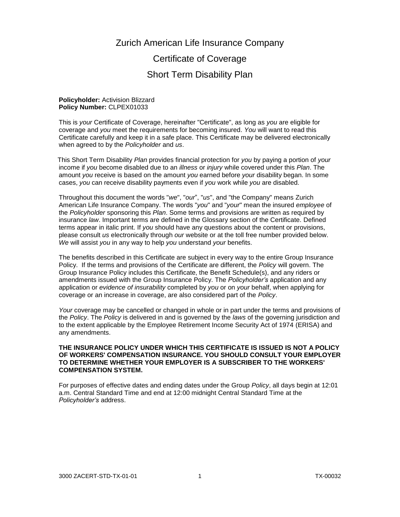## Zurich American Life Insurance Company

# Certificate of Coverage Short Term Disability Plan

#### **Policyholder:** Activision Blizzard **Policy Number:** CLPEX01033

This is *your* Certificate of Coverage, hereinafter "Certificate", as long as *you* are eligible for coverage and *you* meet the requirements for becoming insured. *You* will want to read this Certificate carefully and keep it in a safe place. This Certificate may be delivered electronically when agreed to by the *Policyholder* and *us*.

This Short Term Disability *Plan* provides financial protection for *you* by paying a portion of *your* income if *you* become disabled due to an *illness* or *injury* while covered under this *Plan*. The amount *you* receive is based on the amount *you* earned before *your* disability began. In some cases, *you* can receive disability payments even if *you* work while *you* are disabled.

Throughout this document the words "*we*", "*our*", "*us*", and "the Company" means Zurich American Life Insurance Company. The words "*you*" and "*your*" mean the insured *employee* of the *Policyholder* sponsoring this *Plan*. Some terms and provisions are written as required by insurance *law*. Important terms are defined in the Glossary section of the Certificate. Defined terms appear in italic print. If *you* should have any questions about the content or provisions, please consult *us* electronically through *our* website or at the toll free number provided below. *We* will assist *you* in any way to help *you* understand *your* benefits.

The benefits described in this Certificate are subject in every way to the entire Group Insurance Policy. If the terms and provisions of the Certificate are different, the *Policy* will govern. The Group Insurance Policy includes this Certificate, the Benefit Schedule(s), and any riders or amendments issued with the Group Insurance Policy. The *Policyholder's* application and any application or *evidence of insurability* completed by *you* or on *your* behalf, when applying for coverage or an increase in coverage, are also considered part of the *Policy*.

*Your* coverage may be cancelled or changed in whole or in part under the terms and provisions of the *Policy*. The *Policy* is delivered in and is governed by the *laws* of the governing jurisdiction and to the extent applicable by the Employee Retirement Income Security Act of 1974 (ERISA) and any amendments.

#### **THE INSURANCE POLICY UNDER WHICH THIS CERTIFICATE IS ISSUED IS NOT A POLICY OF WORKERS' COMPENSATION INSURANCE. YOU SHOULD CONSULT YOUR EMPLOYER TO DETERMINE WHETHER YOUR EMPLOYER IS A SUBSCRIBER TO THE WORKERS' COMPENSATION SYSTEM.**

For purposes of effective dates and ending dates under the Group *Policy*, all days begin at 12:01 a.m. Central Standard Time and end at 12:00 midnight Central Standard Time at the *Policyholder's* address.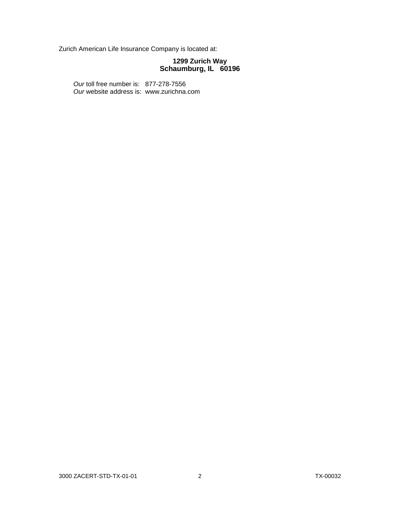Zurich American Life Insurance Company is located at:

#### **1299 Zurich Way Schaumburg, IL 60196**

*Our* toll free number is: 877-278-7556 *Our* website address is: www.zurichna.com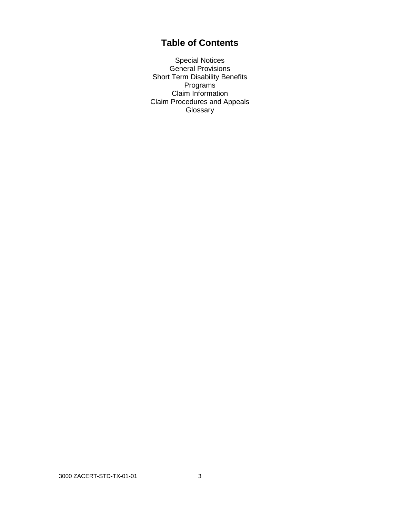# **Table of Contents**

Special Notices General Provisions Short Term Disability Benefits Programs Claim Information Claim Procedures and Appeals Glossary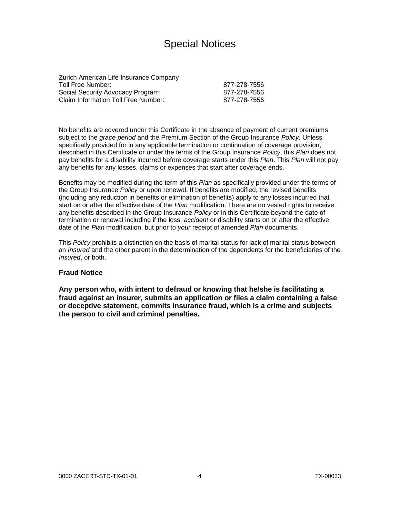# Special Notices

Zurich American Life Insurance Company Toll Free Number: 877-278-7556 Social Security Advocacy Program: 877-278-7556 Claim Information Toll Free Number: 877-278-7556

No benefits are covered under this Certificate in the absence of payment of current premiums subject to the *grace period* and the Premium Section of the Group Insurance *Policy*. Unless specifically provided for in any applicable termination or continuation of coverage provision, described in this Certificate or under the terms of the Group Insurance *Policy*, this *Plan* does not pay benefits for a disability incurred before coverage starts under this *Plan*. This *Plan* will not pay any benefits for any losses, claims or expenses that start after coverage ends.

Benefits may be modified during the term of this *Plan* as specifically provided under the terms of the Group Insurance *Policy* or upon renewal. If benefits are modified, the revised benefits (including any reduction in benefits or elimination of benefits) apply to any losses incurred that start on or after the effective date of the *Plan* modification. There are no vested rights to receive any benefits described in the Group Insurance *Policy* or in this Certificate beyond the date of termination or renewal including if the loss, *accident* or disability starts on or after the effective date of the *Plan* modification, but prior to *your* receipt of amended *Plan* documents.

This *Policy* prohibits a distinction on the basis of marital status for lack of marital status between an *Insured* and the other parent in the determination of the dependents for the beneficiaries of the *Insured*, or both.

#### **Fraud Notice**

**Any person who, with intent to defraud or knowing that he/she is facilitating a fraud against an insurer, submits an application or files a claim containing a false or deceptive statement, commits insurance fraud, which is a crime and subjects the person to civil and criminal penalties.**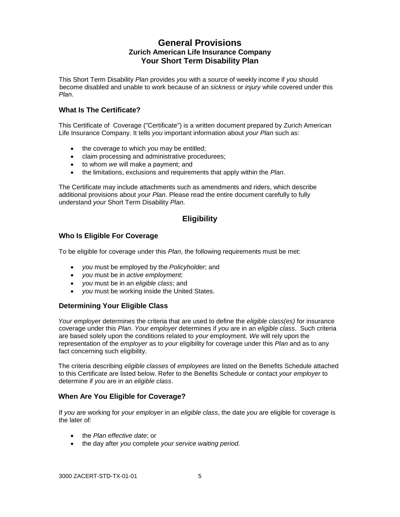## **General Provisions Zurich American Life Insurance Company Your Short Term Disability Plan**

This Short Term Disability *Plan* provides *you* with a source of weekly income if *you* should become disabled and unable to work because of an *sickness* or *injury* while covered under this *Plan*.

## **What Is The Certificate?**

This Certificate of Coverage ("Certificate") is a written document prepared by Zurich American Life Insurance Company. It tells *you* important information about *your Plan* such as:

- the coverage to which *you* may be entitled;
- claim processing and administrative procedurees;
- to whom *we* will make a payment; and
- the limitations, exclusions and requirements that apply within the *Plan*.

The Certificate may include attachments such as amendments and riders, which describe additional provisions about *your Plan*. Please read the entire document carefully to fully understand *your* Short Term Disability *Plan*.

## **Eligibility**

## **Who Is Eligible For Coverage**

To be eligible for coverage under this *Plan*, the following requirements must be met:

- *you* must be employed by the *Policyholder*; and
- *you* must be in *active employment*;
- *you* must be in an *eligible class*; and
- *you* must be working inside the United States.

#### **Determining Your Eligible Class**

 *Your employe*r determines the criteria that are used to define the *eligible class(es)* for insurance coverage under this *Plan*. *Your employer* determines if *you* are in an *eligible class*. Such criteria are based solely upon the conditions related to *your* employment. *We* will rely upon the representation of the *employer* as to *your* eligibility for coverage under this *Plan* and as to any fact concerning such eligibility.

 The criteria describing *eligible classes* of *employees* are listed on the Benefits Schedule attached to this Certificate are listed below. Refer to the Benefits Schedule or contact *your employer* to determine if *you* are in an *eligible class*.

#### **When Are You Eligible for Coverage?**

If *you* are working for *your employer* in an *eligible class*, the date *you* are eligible for coverage is the later of:

- the *Plan effective date*; or
- the day after *you* complete *your service waiting period.*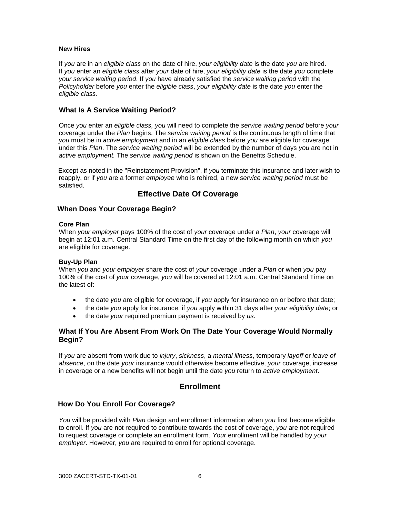#### **New Hires**

If *you* are in an *eligible class* on the date of hire, *your eligibility date* is the date *you* are hired. If *you* enter an *eligible class* after *your* date of hire, *your eligibility date* is the date *you* complete *your service waiting period*. If *you* have already satisfied the *service waiting period* with the *Policyholder* before *you* enter the *eligible class*, *your eligibility date* is the date *you* enter the *eligible class*.

#### **What Is A Service Waiting Period?**

Once *you* enter an *eligible class, you* will need to complete the *service waiting period* before *your* coverage under the *Plan* begins. The *service waiting period* is the continuous length of time that *you* must be in *active employment* and in an *eligible class* before *you* are eligible for coverage under this *Plan*. The *service waiting period* will be extended by the number of days *you* are not in *active employment.* The *service waiting period* is shown on the Benefits Schedule.

 Except as noted in the "Reinstatement Provision", if *you* terminate this insurance and later wish to reapply, or if *you* are a former *employee* who is rehired, a new *service waiting period* must be satisfied.

## **Effective Date Of Coverage**

#### **When Does Your Coverage Begin?**

#### **Core Plan**

When *your employer* pays 100% of the cost of *your* coverage under a *Plan*, *your* coverage will begin at 12:01 a.m. Central Standard Time on the first day of the following month on which *you* are eligible for coverage.

#### **Buy-Up Plan**

When *you* and *your employer* share the cost of *your* coverage under a *Plan* or when *you* pay 100% of the cost of *your* coverage, *you* will be covered at 12:01 a.m. Central Standard Time on the latest of:

- the date *you* are eligible for coverage, if *you* apply for insurance on or before that date;
- the date *you* apply for insurance, if *you* apply within 31 days after *your eligibility date*; or
- the date *your* required premium payment is received by *us*.

#### **What If You Are Absent From Work On The Date Your Coverage Would Normally Begin?**

If *you* are absent from work due to *injury*, *sickness*, a *mental illness*, temporary *layoff* or *leave of absence*, on the date *your* insurance would otherwise become effective, *your* coverage, increase in coverage or a new benefits will not begin until the date *you* return to *active employment*.

## **Enrollment**

#### **How Do You Enroll For Coverage?**

*You* will be provided with *Plan* design and enrollment information when *you* first become eligible to enroll. If *you* are not required to contribute towards the cost of coverage, *you* are not required to request coverage or complete an enrollment form. *Your* enrollment will be handled by *your employer*. However, *you* are required to enroll for optional coverage.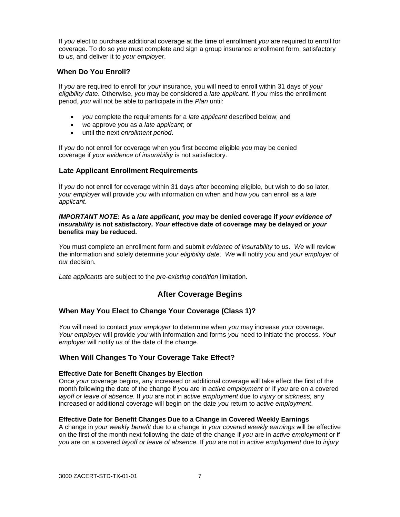If *you* elect to purchase additional coverage at the time of enrollment *you* are required to enroll for coverage. To do so *you* must complete and sign a group insurance enrollment form, satisfactory to *us*, and deliver it to *your employer*.

## **When Do You Enroll?**

If *you* are required to enroll for *your* insurance, you will need to enroll within 31 days of *your eligibility date*. Otherwise, *you* may be considered a *late applicant*. If *you* miss the enrollment period, *you* will not be able to participate in the *Plan* until:

- *you* complete the requirements for a *late applicant* described below; and
- *we* approve *you* as a *late applicant*; or
- until the next *enrollment period*.

If *you* do not enroll for coverage when *you* first become eligible *you* may be denied coverage if *your evidence of insurability* is not satisfactory.

## **Late Applicant Enrollment Requirements**

If *you* do not enroll for coverage within 31 days after becoming eligible, but wish to do so later, *your employer* will provide *you* with information on when and how *you* can enroll as a *late applicant*.

#### *IMPORTANT NOTE:* **As a** *late applicant, you* **may be denied coverage if** *your evidence of insurability* **is not satisfactory.** *Your* **effective date of coverage may be delayed or** *your*  **benefits may be reduced.**

*You* must complete an enrollment form and submit *evidence of insurability* to *us*. *We* will review the information and solely determine *your eligibility date*. *We* will notify *you* and *your employer* of *our* decision.

*Late applicants* are subject to the *pre-existing condition* limitation.

## **After Coverage Begins**

## **When May You Elect to Change Your Coverage (Class 1)?**

*You* will need to contact *your employer* to determine when *you* may increase *your* coverage. *Your employer* will provide *you* with information and forms *you* need to initiate the process. *Your employer* will notify *us* of the date of the change.

## **When Will Changes To Your Coverage Take Effect?**

#### **Effective Date for Benefit Changes by Election**

Once *your* coverage begins, any increased or additional coverage will take effect the first of the month following the date of the change if *you* are in *active employment* or if *you* are on a covered *layoff or leave of absence.* If *you* are not in *active employment* due to *injury* or *sickness,* any increased or additional coverage will begin on the date *you* return to *active employment*.

#### **Effective Date for Benefit Changes Due to a Change in Covered Weekly Earnings**

A change in *your weekly benefit* due to a change in *your covered weekly earnings* will be effective on the first of the month next following the date of the change if *you* are in *active employment* or if *you* are on a covered *layoff or leave of absence.* If *you* are not in *active employment* due to *injury*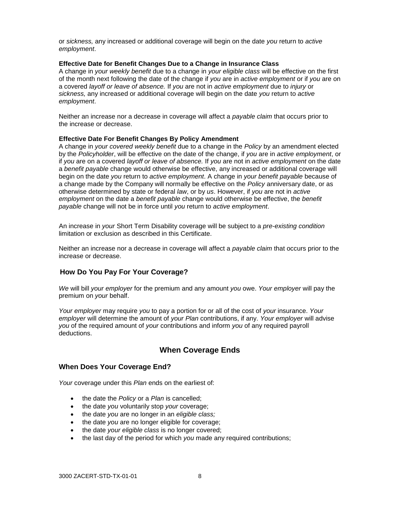or *sickness,* any increased or additional coverage will begin on the date *you* return to *active employment*.

#### **Effective Date for Benefit Changes Due to a Change in Insurance Class**

A change in *your weekly benefit* due to a change in *your eligible class* will be effective on the first of the month next following the date of the change if *you* are in *active employment* or if *you* are on a covered *layoff or leave of absence.* If *you* are not in *active employment* due to *injury* or *sickness,* any increased or additional coverage will begin on the date *you* return to *active employment*.

Neither an increase nor a decrease in coverage will affect a *payable claim* that occurs prior to the increase or decrease.

#### **Effective Date For Benefit Changes By Policy Amendment**

A change in *your covered weekly benefit* due to a change in the *Policy* by an amendment elected by the *Policyholder*, will be effective on the date of the change, if *you* are in *active employment*, or if *you* are on a covered *layoff or leave of absence.* If *you* are not in *active employment* on the date a *benefit payable* change would otherwise be effective, any increased or additional coverage will begin on the date *you* return to *active employment*. A change in *your benefit payable* because of a change made by the Company will normally be effective on the *Policy* anniversary date, or as otherwise determined by state or federal *law*, or by *us*. However, if *you* are not in *active employment* on the date a *benefit payable* change would otherwise be effective, the *benefit payable* change will not be in force until *you* return to *active employment*.

 An increase in *your* Short Term Disability coverage will be subject to a *pre-existing condition* limitation or exclusion as described in this Certificate.

Neither an increase nor a decrease in coverage will affect a *payable claim* that occurs prior to the increase or decrease.

#### **How Do You Pay For Your Coverage?**

*We* will bill *your employer* for the premium and any amount *you* owe. *Your employer* will pay the premium on *your* behalf.

*Your employer* may require *you* to pay a portion for or all of the cost of *your* insurance. *Your employer* will determine the amount of *your Plan* contributions, if any. *Your employer* will advise *you* of the required amount of *your* contributions and inform *you* of any required payroll deductions.

## **When Coverage Ends**

#### **When Does Your Coverage End?**

*Your* coverage under this *Plan* ends on the earliest of:

- the date the *Policy* or a *Plan* is cancelled;
- the date *you* voluntarily stop *your* coverage;
- the date *you* are no longer in an *eligible class;*
- the date *you* are no longer eligible for coverage;
- the date *your eligible class* is no longer covered;
- the last day of the period for which *you* made any required contributions;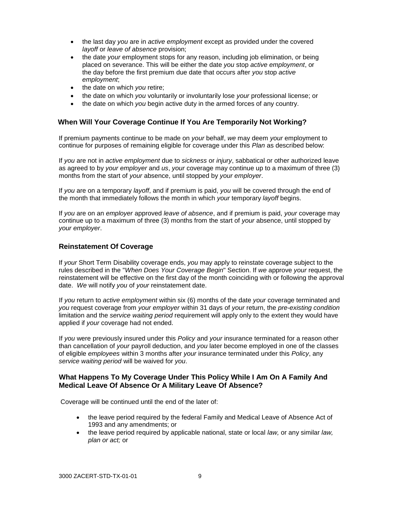- the last day *you* are in *active employment* except as provided under the covered *layoff* or *leave of absence* provision;
- the date *your* employment stops for any reason, including job elimination, or being placed on severance. This will be either the date *you* stop *active employment*, or the day before the first premium due date that occurs after *you* stop *active employment*;
- the date on which *you* retire;
- the date on which *you* voluntarily or involuntarily lose *your* professional license; or
- the date on which *you* begin active duty in the armed forces of any country.

#### **When Will Your Coverage Continue If You Are Temporarily Not Working?**

If premium payments continue to be made on *your* behalf, *we* may deem *your* employment to continue for purposes of remaining eligible for coverage under this *Plan* as described below:

If *you* are not in *active employment* due to *sickness* or *injury*, sabbatical or other authorized leave as agreed to by *your employer* and *us*, *your* coverage may continue up to a maximum of three (3) months from the start of *your* absence, until stopped by *your employer*.

If *you* are on a temporary *layoff*, and if premium is paid, *you* will be covered through the end of the month that immediately follows the month in which *your* temporary *layoff* begins.

If *you* are on an *employer* approved *leave of absence*, and if premium is paid, *your* coverage may continue up to a maximum of three (3) months from the start of *your* absence, until stopped by *your employer*.

#### **Reinstatement Of Coverage**

If *your* Short Term Disability coverage ends, *you* may apply to reinstate coverage subject to the rules described in the "*When Does Your Coverage Begin*" Section. If *we* approve *your* request, the reinstatement will be effective on the first day of the month coinciding with or following the approval date. *We* will notify *you* of *your* reinstatement date.

 If *you* return to *active employment* within six (6) months of the date *your* coverage terminated and *you* request coverage from *your employer* within 31 days of *your* return, the *pre-existing condition* limitation and the *service waiting period* requirement will apply only to the extent they would have applied if *your* coverage had not ended.

If *you* were previously insured under this *Policy* and *your* insurance terminated for a reason other than cancellation of *your* payroll deduction, and *you* later become employed in one of the classes of eligible *employees* within 3 months after *your* insurance terminated under this *Policy*, any *service waiting period* will be waived for *you*.

#### **What Happens To My Coverage Under This Policy While I Am On A Family And Medical Leave Of Absence Or A Military Leave Of Absence?**

Coverage will be continued until the end of the later of:

- the leave period required by the federal Family and Medical Leave of Absence Act of 1993 and any amendments; or
- the leave period required by applicable national, state or local *law,* or any similar *law, plan or act;* or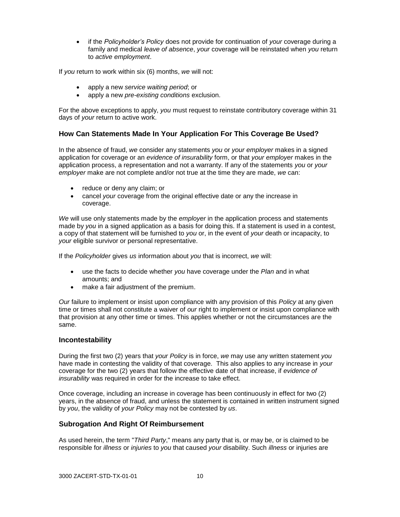if the *Policyholder's Policy* does not provide for continuation of *your* coverage during a family and medical *leave of absence*, *your* coverage will be reinstated when *you* return to *active employment*.

If *you* return to work within six (6) months, *we* will not:

- apply a new *service waiting period*; or
- apply a new *pre-existing conditions* exclusion.

For the above exceptions to apply, *you* must request to reinstate contributory coverage within 31 days of *your* return to active work.

## **How Can Statements Made In Your Application For This Coverage Be Used?**

In the absence of fraud, *we* consider any statements *you* or *your employer* makes in a signed application for coverage or an *evidence of insurability* form, or that *your employer* makes in the application process, a representation and not a warranty. If any of the statements *you* or *your employer* make are not complete and/or not true at the time they are made, *we* can:

- reduce or deny any claim; or
- cancel *your* coverage from the original effective date or any the increase in coverage.

*We* will use only statements made by the *employer* in the application process and statements made by *you* in a signed application as a basis for doing this. If a statement is used in a contest, a copy of that statement will be furnished to *you* or, in the event of *your* death or incapacity, to *your* eligible survivor or personal representative.

If the *Policyholder* gives *us* information about *you* that is incorrect, *we* will:

- use the facts to decide whether *you* have coverage under the *Plan* and in what amounts; and
- make a fair adjustment of the premium.

*Our* failure to implement or insist upon compliance with any provision of this *Policy* at any given time or times shall not constitute a waiver of *our* right to implement or insist upon compliance with that provision at any other time or times. This applies whether or not the circumstances are the same.

#### **Incontestability**

During the first two (2) years that *your Policy* is in force, *we* may use any written statement *you* have made in contesting the validity of that coverage. This also applies to any increase in *your* coverage for the two (2) years that follow the effective date of that increase, if *evidence of insurability* was required in order for the increase to take effect.

Once coverage, including an increase in coverage has been continuously in effect for two (2) years, in the absence of fraud, and unless the statement is contained in written instrument signed by *you*, the validity of *your Policy* may not be contested by *us*.

#### **Subrogation And Right Of Reimbursement**

As used herein, the term "*Third Party*," means any party that is, or may be, or is claimed to be responsible for *illness* or *injuries* to *you* that caused *your* disability. Such *illness* or injuries are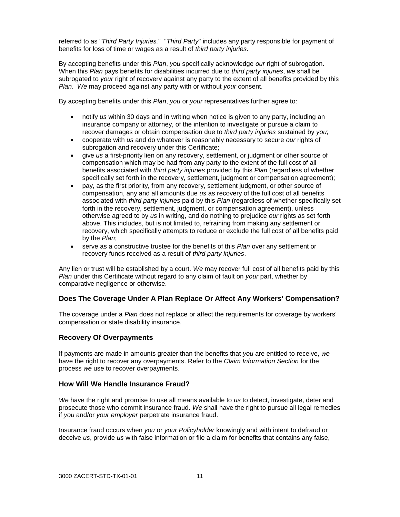referred to as "*Third Party Injuries.*" "*Third Party*" includes any party responsible for payment of benefits for loss of time or wages as a result of *third party injuries*.

By accepting benefits under this *Plan*, *you* specifically acknowledge *our* right of subrogation. When this *Plan* pays benefits for disabilities incurred due to *third party injuries*, *we* shall be subrogated to *your* right of recovery against any party to the extent of all benefits provided by this *Plan*. *We* may proceed against any party with or without *your* consent.

By accepting benefits under this *Plan*, *you* or *your* representatives further agree to:

- notify *us* within 30 days and in writing when notice is given to any party, including an insurance company or attorney, of the intention to investigate or pursue a claim to recover damages or obtain compensation due to *third party injuries* sustained by *you*;
- cooperate with *us* and do whatever is reasonably necessary to secure *our* rights of subrogation and recovery under this Certificate;
- give *us* a first-priority lien on any recovery, settlement, or judgment or other source of compensation which may be had from any party to the extent of the full cost of all benefits associated with *third party injuries* provided by this *Plan* (regardless of whether specifically set forth in the recovery, settlement, judgment or compensation agreement);
- pay, as the first priority, from any recovery, settlement judgment, or other source of compensation, any and all amounts due *us* as recovery of the full cost of all benefits associated with *third party injuries* paid by this *Plan* (regardless of whether specifically set forth in the recovery, settlement, judgment, or compensation agreement), unless otherwise agreed to by *us* in writing, and do nothing to prejudice *our* rights as set forth above. This includes, but is not limited to, refraining from making any settlement or recovery, which specifically attempts to reduce or exclude the full cost of all benefits paid by the *Plan*;
- serve as a constructive trustee for the benefits of this *Plan* over any settlement or recovery funds received as a result of *third party injuries*.

Any lien or trust will be established by a court. *We* may recover full cost of all benefits paid by this *Plan* under this Certificate without regard to any claim of fault on *your* part, whether by comparative negligence or otherwise.

#### **Does The Coverage Under A Plan Replace Or Affect Any Workers' Compensation?**

The coverage under a *Plan* does not replace or affect the requirements for coverage by workers' compensation or state disability insurance.

#### **Recovery Of Overpayments**

If payments are made in amounts greater than the benefits that *you* are entitled to receive, *we* have the right to recover any overpayments. Refer to the *Claim Information Section* for the process *we* use to recover overpayments.

#### **How Will We Handle Insurance Fraud?**

*We* have the right and promise to use all means available to *us* to detect, investigate, deter and prosecute those who commit insurance fraud. *We* shall have the right to pursue all legal remedies if *you* and/or *your employer* perpetrate insurance fraud.

Insurance fraud occurs when *you* or *your Policyholder* knowingly and with intent to defraud or deceive *us*, provide *us* with false information or file a claim for benefits that contains any false,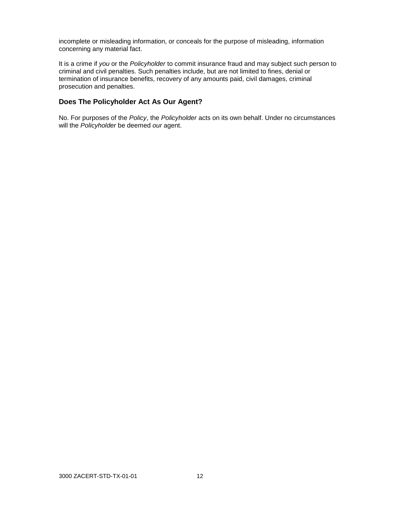incomplete or misleading information, or conceals for the purpose of misleading, information concerning any material fact.

It is a crime if *you* or the *Policyholder* to commit insurance fraud and may subject such person to criminal and civil penalties. Such penalties include, but are not limited to fines, denial or termination of insurance benefits, recovery of any amounts paid, civil damages, criminal prosecution and penalties.

## **Does The Policyholder Act As Our Agent?**

No. For purposes of the *Policy*, the *Policyholder* acts on its own behalf. Under no circumstances will the *Policyholder* be deemed *our* agent.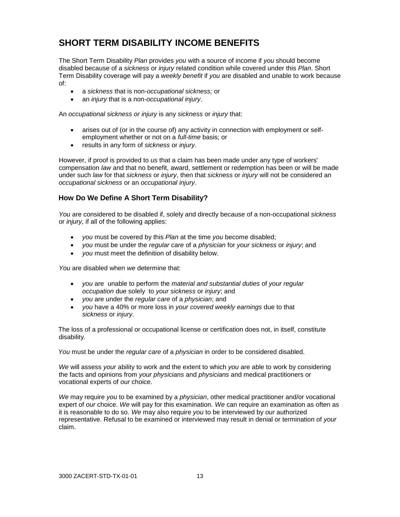# **SHORT TERM DISABILITY INCOME BENEFITS**

The Short Term Disability *Plan* provides *you* with a source of income if *you* should become disabled because of a *sickness* or *injury* related condition while covered under this *Plan*. Short Term Disability coverage will pay a *weekly benefit* if *you* are disabled and unable to work because of:

- a *sickness* that is non-*occupational sickness;* or
- an *injury* that is a non-*occupational injury*.

An *occupational sickness or injury* is any *sickness* or *injury* that:

- arises out of (or in the course of) any activity in connection with employment or selfemployment whether or not on a *full-time* basis; or
- results in any form of *sickness* or *injury*.

However, if proof is provided to *us* that a claim has been made under any type of workers' compensation *law* and that no benefit, award, settlement or redemption has been or will be made under such *law* for that *sickness* or *injury*, then that *sickness* or *injury* will not be considered an *occupational sickness* or an *occupational injury*.

## **How Do We Define A Short Term Disability?**

*You* are considered to be disabled if, solely and directly because of a non-occupational *sickness* or *injury,* if all of the following applies:

- *you* must be covered by this *Plan* at the time *you* become disabled;
- *you* must be under the *regular care* of a *physician* for *your sickness* or *injury*; and
- *you* must meet the definition of disability below.

*You* are disabled when *we* determine that:

- *you* are unable to perform the *material and substantial duties* of *your regular occupation* due solely to *your sickness* or *injury*; and
- *you* are under the *regular care* of a *physician*; and
- *you* have a 40% or more loss in *your covered weekly earnings* due to that *sickness* or *injury*.

 The loss of a professional or occupational license or certification does not, in itself, constitute disability.

*You* must be under the *regular care* of a *physician* in order to be considered disabled.

*We* will assess *your* ability to work and the extent to which *you* are able to work by considering the facts and opinions from *your physicians* and *physicians* and medical practitioners or vocational experts of *our* choice.

*We* may require *you* to be examined by a *physician*, other medical practitioner and/or vocational expert of *our* choice. *We* will pay for this examination. *We* can require an examination as often as it is reasonable to do so. *We* may also require *you* to be interviewed by *our* authorized representative. Refusal to be examined or interviewed may result in denial or termination of *your* claim.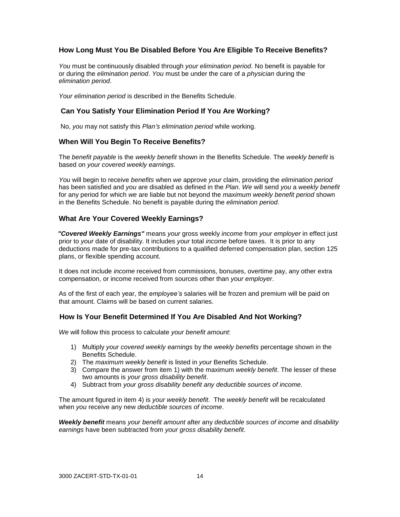## **How Long Must You Be Disabled Before You Are Eligible To Receive Benefits?**

*You* must be continuously disabled through *your elimination period*. No benefit is payable for or during the *elimination period*. *You* must be under the care of a *physician* during the *elimination period*.

*Your elimination period* is described in the Benefits Schedule.

#### **Can You Satisfy Your Elimination Period If You Are Working?**

No, *you* may not satisfy this *Plan's elimination period* while working.

#### **When Will You Begin To Receive Benefits?**

The *benefit payable* is the *weekly benefit* shown in the Benefits Schedule. The *weekly benefit* is based on *your covered weekly earnings.*

*You* will begin to receive *benefits* when *we* approve *your* claim, providing the *elimination period* has been satisfied and *you* are disabled as defined in the *Plan*. *We* will send *you* a *weekly benefit* for any period for which *we* are liable but not beyond the *maximum weekly benefit period* shown in the Benefits Schedule. No benefit is payable during the *elimination period*.

#### **What Are Your Covered Weekly Earnings?**

*"Covered Weekly Earnings"* means *your* gross weekly *income* from *your employer* in effect just prior to *your* date of disability. It includes *your* total *income* before taxes. It is prior to any deductions made for pre-tax contributions to a qualified deferred compensation plan, section 125 plans, or flexible spending account.

 It does not include *income* received from commissions, bonuses, overtime pay, any other extra compensation, or income received from sources other than *your employer*.

As of the first of each year, the *employee's* salaries will be frozen and premium will be paid on that amount. Claims will be based on current salaries.

#### **How Is Your Benefit Determined If You Are Disabled And Not Working?**

*We* will follow this process to calculate *your benefit amount*:

- 1) Multiply *your covered weekly earnings* by the *weekly benefits* percentage shown in the Benefits Schedule.
- 2) The *maximum weekly benefit* is listed in *your* Benefits Schedule.
- 3) Compare the answer from item 1) with the maximum *weekly benefit*. The lesser of these two amounts is *your gross disability benefit*.
- 4) Subtract from *your gross disability benefit any deductible sources of income*.

The amount figured in item 4) is *your weekly benefit*. The *weekly benefit* will be recalculated when *you* receive any new *deductible sources of income*.

*Weekly benefit* means *your benefit amount* after any *deductible sources of income* and *disability earnings* have been subtracted from *your gross disability benefit*.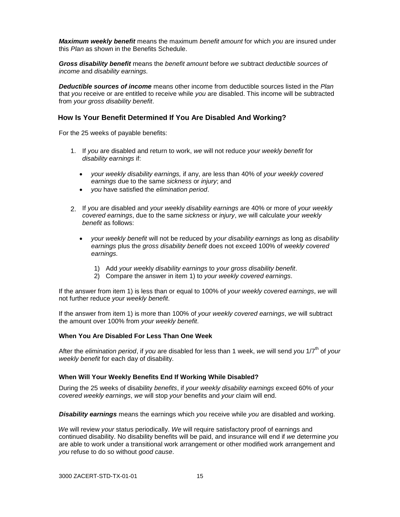*Maximum weekly benefit* means the maximum *benefit amount* for which *you* are insured under this *Plan* as shown in the Benefits Schedule.

*Gross disability benefit* means the *benefit amount* before *we* subtract *deductible sources of income* and *disability earnings.*

*Deductible sources of income* means other income from deductible sources listed in the *Plan* that *you* receive or are entitled to receive while *you* are disabled. This income will be subtracted from *your gross disability benefit*.

#### **How Is Your Benefit Determined If You Are Disabled And Working?**

For the 25 weeks of payable benefits:

- 1. If *you* are disabled and return to work, *we* will not reduce *your weekly benefit* for *disability earnings* if:
	- *your weekly disability earnings,* if any, are less than 40% of *your weekly covered earnings* due to the same *sickness* or *injury*; and
	- *you* have satisfied the *elimination period*.
- 2. If *you* are disabled and *your we*ekly *disability earnings* are 40% or more of *your weekly covered earnings*, due to the same *sickness* or *injury*, *we* will calculate *your weekly benefit* as follows:
	- *your weekly benefit* will not be reduced by *your disability earnings* as long as *disability earnings* plus the *gross disability benefit* does not exceed 100% of *weekly covered earnings.*
		- 1) Add *your we*ekly *disability earnings* to *your gross disability benefit*.
		- 2) Compare the answer in item 1) to *your weekly covered earnings*.

If the answer from item 1) is less than or equal to 100% of *your weekly covered earnings*, *we* will not further reduce *your weekly benefit*.

If the answer from item 1) is more than 100% of *your weekly covered earnings*, *we* will subtract the amount over 100% from *your weekly benefit*.

#### **When You Are Disabled For Less Than One Week**

After the *elimination period*, if *you* are disabled for less than 1 week, *we* will send *you* 1/7 th of *your weekly benefit* for each day of disability.

#### **When Will Your Weekly Benefits End If Working While Disabled?**

During the 25 weeks of disability *benefits*, if *your weekly disability earnings* exceed 60% of *your covered weekly earnings*, *we* will stop *your* benefits and *your* claim will end.

*Disability earnings* means the earnings which *you* receive while *you* are disabled and working.

 *We* will review *your* status periodically. *We* will require satisfactory proof of earnings and continued disability. No disability benefits will be paid, and insurance will end if *we* determine *you* are able to work under a transitional work arrangement or other modified work arrangement and *you* refuse to do so without *good cause*.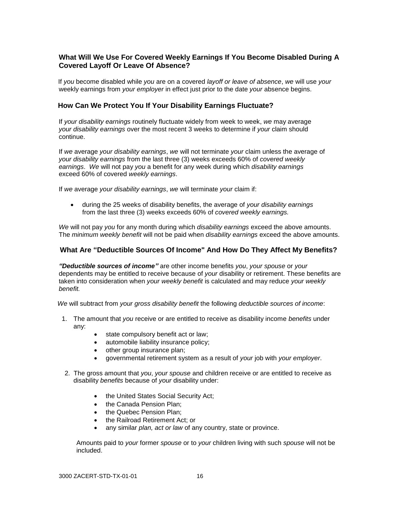## **What Will We Use For Covered Weekly Earnings If You Become Disabled During A Covered Layoff Or Leave Of Absence?**

If *you* become disabled while *you* are on a covered *layoff or leave of absence*, *we* will use *your* weekly earnings from *your employer* in effect just prior to the date *your* absence [begins.](http://begins.is/)

#### **How Can We Protect You If Your Disability Earnings Fluctuate?**

If *your disability earnings* routinely fluctuate widely from week to week, *we* may average *your disability earnings* over the most recent 3 weeks to determine if *your* claim should continue.

If *we* average *your disability earnings*, *we* will not terminate *your* claim unless the average of *your disability earnings* from the last three (3) weeks exceeds 60% of *covered weekly earnings*. *We* will not pay *you* a benefit for any week during which *disability earnings* exceed 60% of covered *weekly earnings*.

If *we* average *your disability earnings*, *we* will terminate *your* claim if:

 during the 25 weeks of disability benefits, the average of *your disability earnings* from the last three (3) weeks exceeds 60% of *covered weekly earnings.*

*We* will not pay *you* for any month during which *disability earnings* exceed the above amounts. The *minimum weekly benefit* will not be paid when *disability earnings* exceed the above amounts.

#### **What Are "Deductible Sources Of Income" And How Do They Affect My Benefits?**

*"Deductible sources of income"* are other income benefits *you*, *your spouse* or *your* dependents may be entitled to receive because of *your* disability or retirement. These benefits are taken into consideration when *your weekly benefit* is calculated and may reduce *your weekly benefit.*

*We* will subtract from *your gross disability benefit* the following *deductible sources of income*:

- 1. The amount that *you* receive or are entitled to receive as disability income *benefits* under any:
	- state compulsory benefit act or law;
	- automobile liability insurance policy;
	- other group insurance plan;
	- governmental retirement system as a result of *your* job with *your employer*.
- 2. The gross amount that *you*, *your spouse* and children receive or are entitled to receive as disability *benefits* because of *your* disability under:
	- the United States Social Security Act;
	- the Canada Pension Plan:
	- the Quebec Pension Plan:
	- the Railroad Retirement Act; or
	- any similar *plan, act or law* of any country, state or province.

Amounts paid to *your* former *spouse* or to *your* children living with such *spouse* will not be included.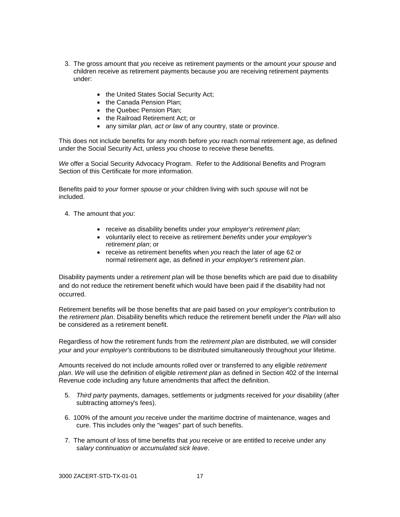- 3. The gross amount that *you* receive as retirement payments or the amount *your spouse* and children receive as retirement payments because *you* are receiving retirement payments under:
	- the United States Social Security Act;
	- the Canada Pension Plan;
	- the Quebec Pension Plan:
	- the Railroad Retirement Act; or
	- any similar *plan, act or law* of any country, state or province.

This does not include benefits for any month before *you* reach normal retirement age, as defined under the Social Security Act, unless *you* choose to receive these benefits.

*We* offer a Social Security Advocacy Program. Refer to the Additional Benefits and Program Section of this Certificate for more information.

Benefits paid to *your* former *spouse* or *your* children living with such *spouse* will not be included.

- 4. The amount that *you*:
	- receive as disability benefits under *your employer's retirement plan*;
	- voluntarily elect to receive as retirement *benefits* under *your employer's retirement plan*; or
	- receive as retirement benefits when *you* reach the later of age 62 or normal retirement age, as defined in *your employer's retirement plan*.

Disability payments under a *retirement plan* will be those benefits which are paid due to disability and do not reduce the retirement benefit which would have been paid if the disability had not occurred.

Retirement benefits will be those benefits that are paid based on *your employer's* contribution to the *retirement plan*. Disability benefits which reduce the retirement benefit under the *Plan* will also be considered as a retirement benefit.

Regardless of how the retirement funds from the *retirement plan* are distributed, *we* will consider *your* and *your employer's* contributions to be distributed simultaneously throughout *your* lifetime.

Amounts received do not include amounts rolled over or transferred to any eligible *retirement plan*. *We* will use the definition of eligible *retirement plan* as defined in Section 402 of the Internal Revenue code including any future amendments that affect the definition.

- 5. *Third party* payments, damages, settlements or judgments received for *your* disability (after subtracting attorney's fees).
- 6. 100% of the amount *you* receive under the maritime doctrine of maintenance, wages and cure. This includes only the "wages" part of such benefits.
- 7. The amount of loss of time benefits that *you* receive or are entitled to receive under any *salary continuation* or *accumulated sick leave*.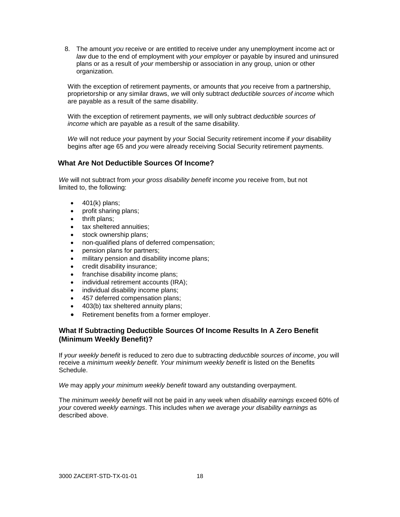8. The amount *you* receive or are entitled to receive under any unemployment income act or *law* due to the end of employment with *your employer* or payable by insured and uninsured plans or as a result of *your* membership or association in any group, union or other organization.

With the exception of retirement payments, or amounts that *you* receive from a partnership, proprietorship or any similar draws, *we* will only subtract *deductible sources of income* which are payable as a result of the same disability.

With the exception of retirement payments, *we* will only subtract *deductible sources of income* which are payable as a result of the same disability.

*We* will not reduce *your* payment by *your* Social Security retirement income if *your* disability begins after age 65 and *you* were already receiving Social Security retirement payments.

## **What Are Not Deductible Sources Of Income?**

*We* will not subtract from *your gross disability benefit* income *you* receive from, but not limited to, the following:

- $\bullet$  401(k) plans;
- profit sharing plans;
- thrift plans;
- tax sheltered annuities;
- stock ownership plans;
- non-qualified plans of deferred compensation;
- pension plans for partners;
- military pension and disability income plans;
- credit disability insurance;
- franchise disability income plans;
- individual retirement accounts (IRA);
- individual disability income plans;
- 457 deferred compensation plans;
- 403(b) tax sheltered annuity plans;
- Retirement benefits from a former employer.

## **What If Subtracting Deductible Sources Of Income Results In A Zero Benefit (Minimum Weekly Benefit)?**

If *your weekly benefit* is reduced to zero due to subtracting *deductible sources of income*, *you* will receive a *minimum weekly benefit*. *Your minimum weekly benefit* is listed on the Benefits Schedule.

*We* may apply *your minimum weekly benefit* toward any outstanding overpayment.

The *minimum weekly benefit* will not be paid in any week when *disability earnings* exceed 60% of *your* covered *weekly earnings*. This includes when *we* average *your disability earnings* as described above.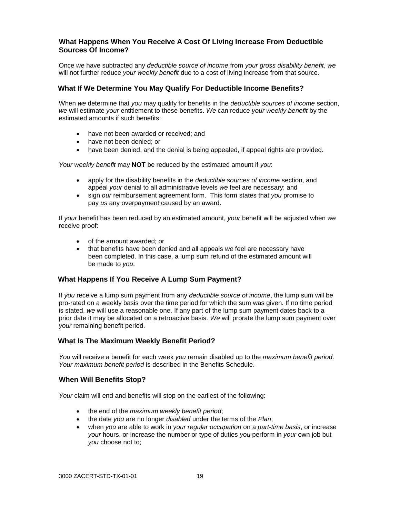## **What Happens When You Receive A Cost Of Living Increase From Deductible Sources Of Income?**

Once *we* have subtracted any *deductible source of income* from *your gross disability benefit*, *we* will not further reduce *your weekly benefit* due to a cost of living increase from that source.

## **What If We Determine You May Qualify For Deductible Income Benefits?**

When *we* determine that *you* may qualify for benefits in the *deductible sources of income* section, *we* will estimate *your* entitlement to these benefits. *We* can reduce *your weekly benefit* by the estimated amounts if such benefits:

- have not been awarded or received; and
- have not been denied; or
- have been denied, and the denial is being appealed, if appeal rights are provided.

*Your weekly benefit* may **NOT** be reduced by the estimated amount if *you*:

- apply for the disability benefits in the *deductible sources of income* section, and appeal *your* denial to all administrative levels *we* feel are necessary; and
- sign *our* reimbursement agreement form. This form states that *you* promise to pay *us* any overpayment caused by an award.

If *your* benefit has been reduced by an estimated amount, *your* benefit will be adjusted when *we* receive proof:

- of the amount awarded; or
- that benefits have been denied and all appeals *we* feel are necessary have been completed. In this case, a lump sum refund of the estimated amount will be made to *you*.

#### **What Happens If You Receive A Lump Sum Payment?**

If *you* receive a lump sum payment from any *deductible source of income*, the lump sum will be pro-rated on a weekly basis over the time period for which the sum was given. If no time period is stated, *we* will use a reasonable one. If any part of the lump sum payment dates back to a prior date it may be allocated on a retroactive basis. *We* will prorate the lump sum payment over *your* remaining benefit period.

#### **What Is The Maximum Weekly Benefit Period?**

*You* will receive a benefit for each week *you* remain disabled up to the *maximum benefit period. Your maximum benefit period* is described in the Benefits Schedule.

#### **When Will Benefits Stop?**

*Your* claim will end and benefits will stop on the earliest of the following:

- the end of the *maximum weekly benefit period*;
- the date *you* are no longer *disabled* under the terms of the *Plan*;
- when *you* are able to work in *your regular occupation* on a *part-time basis*, or increase *your* hours, or increase the number or type of duties *you* perform in *your* own job but *you* choose not to;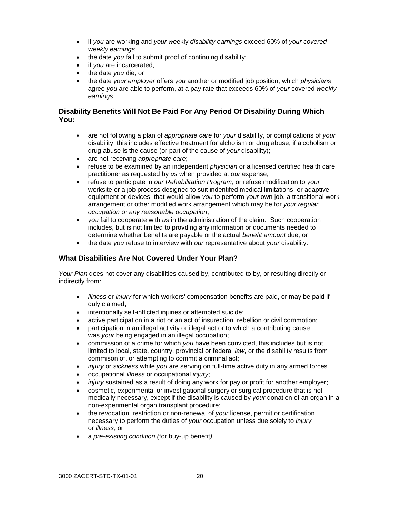- if *you* are working and *your we*ekly *disability earnings* exceed 60% of *your covered weekly earnings*;
- the date *you* fail to submit proof of continuing disability;
- if *you* are incarcerated;
- the date *you* die; or
- the date *your employer* offers *you* another or modified job position, which *physicians*  agree *you* are able to perform, at a pay rate that exceeds 60% of *your* covered *weekly earnings*.

## **Disability Benefits Will Not Be Paid For Any Period Of Disability During Which You:**

- are not following a plan of *appropriate care* for *your* disability, or complications of *your* disability, this includes effective treatment for alcholism or drug abuse, if alcoholism or drug abuse is the cause (or part of the cause of *your* disability);
- are not receiving *appropriate care*;
- refuse to be examined by an independent *physician* or a licensed certified health care practitioner as requested by *us* when provided at *our* expense;
- refuse to participate in *our Rehabilitation Program*, or refuse modification to *your* worksite or a job process designed to suit indentifed medical limitations, or adaptive equipment or devices that would allow *you* to perform *your* own job, a transitional work arrangement or other modified work arrangement which may be for *your regular occupation* or *any reasonable occupation*;
- *you* fail to cooperate with *us* in the administration of the claim. Such cooperation includes, but is not limited to provding any information or documents needed to determine whether benefits are payable or the actual *benefit amount* due; or
- the date *you* refuse to interview with *our* representative about *your* disability.

## **What Disabilities Are Not Covered Under Your Plan?**

*Your Plan* does not cover any disabilities caused by, contributed to by, or resulting directly or indirectly from:

- *illness* or *injury* for which workers' compensation benefits are paid, or may be paid if duly claimed;
- intentionally self-inflicted injuries or attempted suicide;
- active participation in a riot or an act of insurection, rebellion or civil commotion;
- participation in an illegal activity or illegal act or to which a contributing cause was *your* being engaged in an illegal occupation;
- commission of a crime for which *you* have been convicted, this includes but is not limited to local, state, country, provincial or federal *law*, or the disability results from commison of, or attempting to commit a criminal act;
- *injury* or *sickness* while *you* are serving on full-time active duty in any armed forces
- occupational *illness* or occupational *injury*;
- *injury* sustained as a result of doing any work for pay or profit for another employer;
- cosmetic, experimental or investigational surgery or surgical procedure that is not medically necessary, except if the disability is caused by *your* donation of an organ in a non-experimental organ transplant procedure;
- the revocation, restriction or non-renewal of *your* license, permit or certification necessary to perform the duties of *your* occupation unless due solely to *injury* or *illness*; or
- a *pre-existing condition (*for buy-up benefit*).*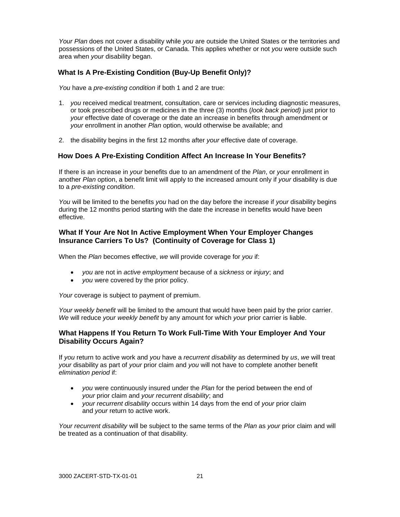*Your Plan* does not cover a disability while *you* are outside the United States or the territories and possessions of the United States, or Canada. This applies whether or not *you* were outside such area when *your* disability began.

## **What Is A Pre-Existing Condition (Buy-Up Benefit Only)?**

*You* have a *pre-existing condition* if both 1 and 2 are true:

- 1. *you* received medical treatment, consultation, care or services including diagnostic measures, or took prescribed drugs or medicines in the three (3) months (*look back period)* just prior to *your* effective date of coverage or the date an increase in benefits through amendment or *your* enrollment in another *Plan* option, would otherwise be available; and
- 2. the disability begins in the first 12 months after *your* effective date of coverage.

#### **How Does A Pre-Existing Condition Affect An Increase In Your Benefits?**

If there is an increase in *your* benefits due to an amendment of the *Plan*, or *your* enrollment in another *Plan* option, a benefit limit will apply to the increased amount only if *your* disability is due to a *pre-existing condition*.

*You* will be limited to the benefits *you* had on the day before the increase if *your* disability begins during the 12 months period starting with the date the increase in benefits would have been effective.

#### **What If Your Are Not In Active Employment When Your Employer Changes Insurance Carriers To Us? (Continuity of Coverage for Class 1)**

When the *Plan* becomes effective, *we* will provide coverage for *you* if:

- *you* are not in *active employment* because of a *sickness* or *injury*; and
- *you* were covered by the prior policy.

*Your* coverage is subject to payment of premium.

*Your weekly benefit* will be limited to the amount that would have been paid by the prior carrier. *We* will reduce *your weekly benefit* by any amount for which *your* prior carrier is liable.

#### **What Happens If You Return To Work Full-Time With Your Employer And Your Disability Occurs Again?**

If *you* return to active work and *you* have a *recurrent disability* as determined by *us*, *we* will treat *your* disability as part of *your* prior claim and *you* will not have to complete another benefit *elimination period* if:

- *you* were continuously insured under the *Plan* for the period between the end of *your* prior claim and *your recurrent disability*; and
- *your recurrent disability* occurs within 14 days from the end of *your* prior claim and *your* return to active work.

*Your recurrent disability* will be subject to the same terms of the *Plan* as *your* prior claim and will be treated as a continuation of that disability.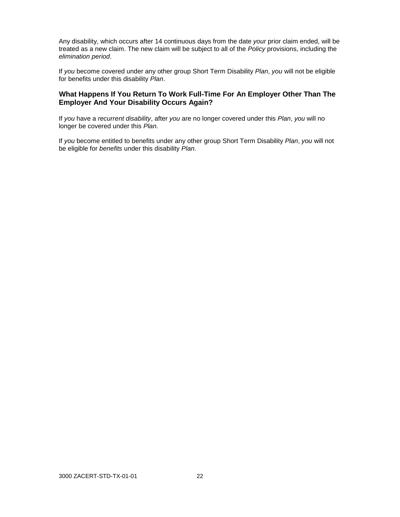Any disability, which occurs after 14 continuous days from the date *your* prior claim ended, will be treated as a new claim. The new claim will be subject to all of the *Policy* provisions, including the *elimination period*.

If *you* become covered under any other group Short Term Disability *Plan*, *you* will not be eligible for benefits under this disability *Plan*.

#### **What Happens If You Return To Work Full-Time For An Employer Other Than The Employer And Your Disability Occurs Again?**

If *you* have a *recurrent disability*, after *you* are no longer covered under this *Plan*, *you* will no longer be covered under this *Plan*.

If *you* become entitled to benefits under any other group Short Term Disability *Plan*, *you* will not be eligible for *benefits* under this disability *Plan*.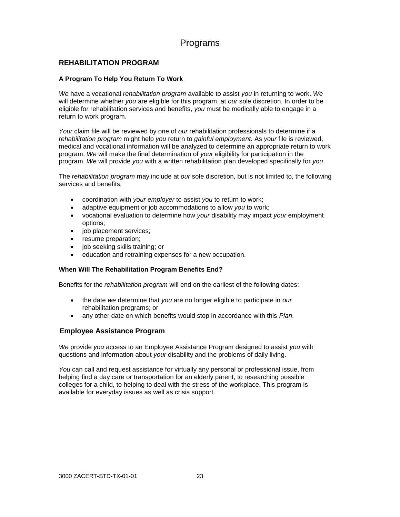## Programs

## **REHABILITATION PROGRAM**

#### **A Program To Help You Return To Work**

*We* have a vocational *rehabilitation program* available to assist *you* in returning to work. *We* will determine whether *you* are eligible for this program, at *our* sole discretion. In order to be eligible for rehabilitation services and benefits, *you* must be medically able to engage in a return to work program.

*Your* claim file will be reviewed by one of *our* rehabilitation professionals to determine if a *rehabilitation program* might help *you* return to *gainful employment*. As *your* file is reviewed, medical and vocational information will be analyzed to determine an appropriate return to work program. *We* will make the final determination of *your* eligibility for participation in the program. *We* will provide *you* with a written rehabilitation plan developed specifically for *you*.

The *rehabilitation program* may include at *our* sole discretion, but is not limited to, the following services and benefits:

- coordination with *your employer* to assist *you* to return to work;
- adaptive equipment or job accommodations to allow *you* to work;
- vocational evaluation to determine how *your* disability may impact *your* employment options;
- job placement services;
- resume preparation;
- job seeking skills training; or
- education and retraining expenses for a new occupation.

#### **When Will The Rehabilitation Program Benefits End?**

Benefits for the *rehabilitation program* will end on the earliest of the following dates:

- the date *we* determine that *you* are no longer eligible to participate in *our* rehabilitation programs; or
- any other date on which benefits would stop in accordance with this *Plan*.

#### **Employee Assistance Program**

*We* provide *you* access to an Employee Assistance Program designed to assist *you* with questions and information about *your* disability and the problems of daily living.

*You* can call and request assistance for virtually any personal or professional issue, from helping find a day care or transportation for an elderly parent, to researching possible colleges for a child, to helping to deal with the stress of the workplace. This program is available for everyday issues as well as crisis support.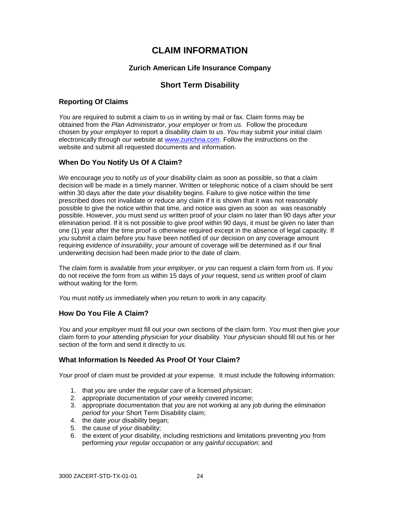## **CLAIM INFORMATION**

## **Zurich American Life Insurance Company**

## **Short Term Disability**

## **Reporting Of Claims**

*You* are required to submit a claim to *us* in writing by mail or fax. Claim forms may be obtained from the *Plan Administrator*, *your employer* or from *us*. Follow the procedure chosen by *your employer* to report a disability claim to *us*. *You* may submit *your* initial claim electronically through *our* website at [www.zurichna.com.](http://www.zurichna.com/) Follow the instructions on the website and submit all requested documents and information.

## **When Do You Notify Us Of A Claim?**

*We* encourage *you* to notify *us* of *your* disability claim as soon as possible, so that a claim decision will be made in a timely manner. Written or telephonic notice of a claim should be sent within 30 days after the date *your* disability begins. Failure to give notice within the time prescribed does not invalidate or reduce any claim if it is shown that it was not reasonably possible to give the notice within that time, and notice was given as soon as was reasonably possible. However, *you* must send *us* written proof of *your* claim no later than 90 days after *your* elimination period. If it is not possible to give proof within 90 days, it must be given no later than one (1) year after the time proof is otherwise required except in the absence of legal capacity. If *you* submit a claim before *you* have been notified of *our* decision on any coverage amount requiring *evidence of insurability*, *your* amount of coverage will be determined as if *our* final underwriting decision had been made prior to the date of claim.

The claim form is available from *your employer*, or *you* can request a claim form from *us*. If *you* do not receive the form from *us* within 15 days of *your* request, send *us* written proof of claim without waiting for the form.

*You* must notify *us* immediately when *you* return to work in any capacity.

## **How Do You File A Claim?**

*You* and *your employer* must fill out *your* own sections of the claim form. *You* must then give *your* claim form to *your* attending *physician* for *your* disability. *Your physician* should fill out his or her section of the form and send it directly to *us*.

## **What Information Is Needed As Proof Of Your Claim?**

*Your* proof of claim must be provided at *your* expense. It must include the following information:

- 1. that *you* are under the *regular care* of a licensed *physician*;
- 2. appropriate documentation of *your* weekly covered income;
- 3. appropriate documentation that *you* are not working at any job during the *elimination period* for *your* Short Term Disability claim;
- 4. the date *your* disability began;
- 5. the cause of *your* disability;
- 6. the extent of *your* disability, including restrictions and limitations preventing *you* from performing *your regular occupation* or any *gainful occupation*; and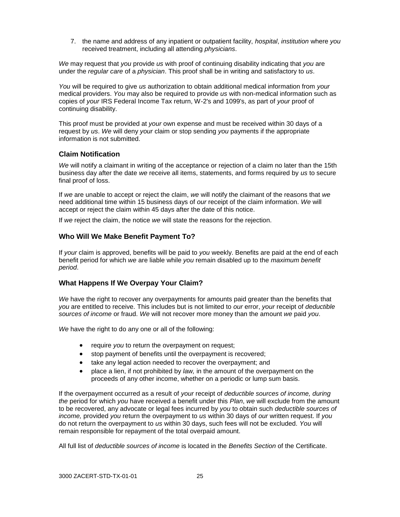7. the name and address of any inpatient or outpatient facility, *hospital*, *institution* where *you* received treatment, including all attending *physicians*.

*We* may request that *you* provide *us* with proof of continuing disability indicating that *you* are under the *regular care* of a *physician*. This proof shall be in writing and satisfactory to *us*.

*You* will be required to give *us* authorization to obtain additional medical information from *your* medical providers. *You* may also be required to provide *us* with non-medical information such as copies of *your* IRS Federal Income Tax return, W-2's and 1099's, as part of *your* proof of continuing disability.

This proof must be provided at *your* own expense and must be received within 30 days of a request by *us*. *We* will deny *your* claim or stop sending *you* payments if the appropriate information is not submitted.

#### **Claim Notification**

*We* will notify a claimant in writing of the acceptance or rejection of a claim no later than the 15th business day after the date *we* receive all items, statements, and forms required by *us* to secure final proof of loss.

If *we* are unable to accept or reject the claim, *we* will notify the claimant of the reasons that *we* need additional time within 15 business days of *our* receipt of the claim information. *We* will accept or reject the claim within 45 days after the date of this notice.

If *we* reject the claim, the notice *we* will state the reasons for the rejection.

#### **Who Will We Make Benefit Payment To?**

If *your* claim is approved, benefits will be paid to *you* weekly. Benefits are paid at the end of each benefit period for which *we* are liable while *you* remain disabled up to the *maximum benefit period*.

#### **What Happens If We Overpay Your Claim?**

*We* have the right to recover any overpayments for amounts paid greater than the benefits that *you* are entitled to receive. This includes but is not limited to *our* error, *your* receipt of *deductible sources of income* or fraud. *We* will not recover more money than the amount *we* paid *you*.

*We* have the right to do any one or all of the following:

- **•** require *you* to return the overpayment on request;
- stop payment of benefits until the overpayment is recovered;
- take any legal action needed to recover the overpayment; and
- place a lien, if not prohibited by *law,* in the amount of the overpayment on the proceeds of any other income, whether on a periodic or lump sum basis.

If the overpayment occurred as a result of *your* receipt of *deductible sources of income, during the* period for which *you* have received a benefit under this *Plan*, *we* will exclude from the amount to be recovered, any advocate or legal fees incurred by *you* to obtain such *deductible sources of income,* provided *you* return the overpayment to *us* within 30 days of *our* written request. If *you* do not return the overpayment to *us* within 30 days, such fees will not be excluded. *You* will remain responsible for repayment of the total overpaid amount.

All full list of *deductible sources of income* is located in the *Benefits Section* of the Certificate.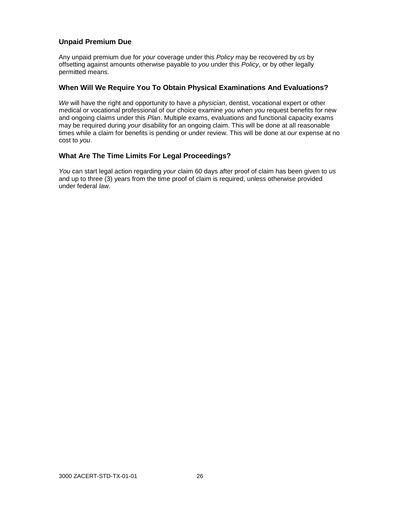## **Unpaid Premium Due**

Any unpaid premium due for *your* coverage under this *Policy* may be recovered by *us* by offsetting against amounts otherwise payable to *you* under this *Policy*, or by other legally permitted means.

#### **When Will We Require You To Obtain Physical Examinations And Evaluations?**

*We* will have the right and opportunity to have a *physician*, dentist, vocational expert or other medical or vocational professional of *our* choice examine *you* when *you* request benefits for new and ongoing claims under this *Plan*. Multiple exams, evaluations and functional capacity exams may be required during *your* disability for an ongoing claim. This will be done at all reasonable times while a claim for benefits is pending or under review. This will be done at *our* expense at no cost to *you*.

## **What Are The Time Limits For Legal Proceedings?**

*You* can start legal action regarding *your* claim 60 days after proof of claim has been given to *us* and up to three (3) years from the time proof of claim is required, unless otherwise provided under federal *law*.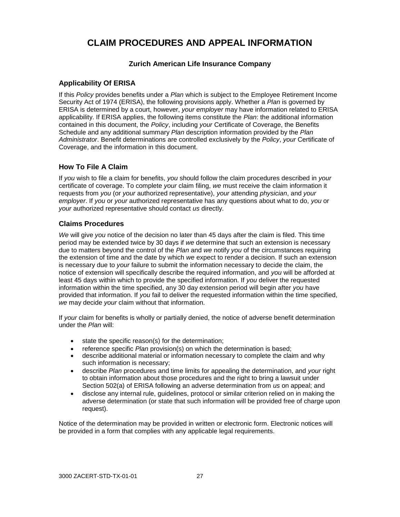# **CLAIM PROCEDURES AND APPEAL INFORMATION**

## **Zurich American Life Insurance Company**

## **Applicability Of ERISA**

If this *Policy* provides benefits under a *Plan* which is subject to the Employee Retirement Income Security Act of 1974 (ERISA), the following provisions apply. Whether a *Plan* is governed by ERISA is determined by a court, however, *your employer* may have information related to ERISA applicability. If ERISA applies, the following items constitute the *Plan*: the additional information contained in this document, the *Policy*, including *your* Certificate of Coverage, the Benefits Schedule and any additional summary *Plan* description information provided by the *Plan Administrator*. Benefit determinations are controlled exclusively by the *Policy*, *your* Certificate of Coverage, and the information in this document.

## **How To File A Claim**

If *you* wish to file a claim for benefits, *you* should follow the claim procedures described in *your* certificate of coverage. To complete *your* claim filing, *we* must receive the claim information it requests from *you* (or *your* authorized representative), *your* attending *physician*, and *your employer*. If *you* or *your* authorized representative has any questions about what to do, *you* or *your* authorized representative should contact *us* directly.

#### **Claims Procedures**

*We* will give *you* notice of the decision no later than 45 days after the claim is filed. This time period may be extended twice by 30 days if *we* determine that such an extension is necessary due to matters beyond the control of the *Plan* and *we* notify *you* of the circumstances requiring the extension of time and the date by which *we* expect to render a decision. If such an extension is necessary due to *your* failure to submit the information necessary to decide the claim, the notice of extension will specifically describe the required information, and *you* will be afforded at least 45 days within which to provide the specified information. If *you* deliver the requested information within the time specified, any 30 day extension period will begin after *you* have provided that information. If *you* fail to deliver the requested information within the time specified, *we* may decide *your* claim without that information.

If *your* claim for benefits is wholly or partially denied, the notice of adverse benefit determination under the *Plan* will:

- state the specific reason(s) for the determination;
- reference specific *Plan* provision(s) on which the determination is based;
- describe additional material or information necessary to complete the claim and why such information is necessary;
- describe *Plan* procedures and time limits for appealing the determination, and *your* right to obtain information about those procedures and the right to bring a lawsuit under Section 502(a) of ERISA following an adverse determination from *us* on appeal; and
- disclose any internal rule, guidelines, protocol or similar criterion relied on in making the adverse determination (or state that such information will be provided free of charge upon request).

Notice of the determination may be provided in written or electronic form. Electronic notices will be provided in a form that complies with any applicable legal requirements.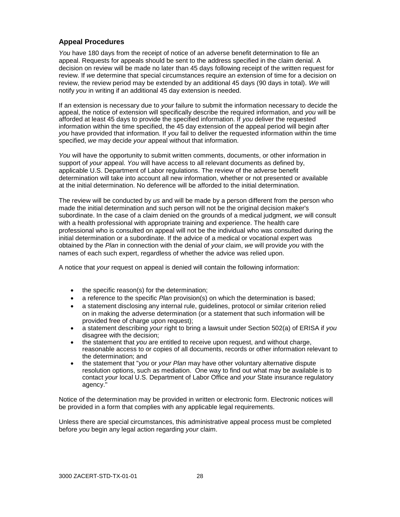## **Appeal Procedures**

*You* have 180 days from the receipt of notice of an adverse benefit determination to file an appeal. Requests for appeals should be sent to the address specified in the claim denial. A decision on review will be made no later than 45 days following receipt of the written request for review. If *we* determine that special circumstances require an extension of time for a decision on review, the review period may be extended by an additional 45 days (90 days in total). *We* will notify *you* in writing if an additional 45 day extension is needed.

If an extension is necessary due to *your* failure to submit the information necessary to decide the appeal, the notice of extension will specifically describe the required information, and *you* will be afforded at least 45 days to provide the specified information. If *you* deliver the requested information within the time specified, the 45 day extension of the appeal period will begin after *you* have provided that information. If *you* fail to deliver the requested information within the time specified, *we* may decide *your* appeal without that information.

*You* will have the opportunity to submit written comments, documents, or other information in support of *your* appeal. *You* will have access to all relevant documents as defined by, applicable U.S. Department of Labor regulations. The review of the adverse benefit determination will take into account all new information, whether or not presented or available at the initial determination. No deference will be afforded to the initial determination.

The review will be conducted by *us* and will be made by a person different from the person who made the initial determination and such person will not be the original decision maker's subordinate. In the case of a claim denied on the grounds of a medical judgment, *we* will consult with a health professional with appropriate training and experience. The health care professional who is consulted on appeal will not be the individual who was consulted during the initial determination or a subordinate. If the advice of a medical or vocational expert was obtained by the *Plan* in connection with the denial of *your* claim, *we* will provide *you* with the names of each such expert, regardless of whether the advice was relied upon.

A notice that *your* request on appeal is denied will contain the following information:

- the specific reason(s) for the determination;
- a reference to the specific *Plan* provision(s) on which the determination is based;
- a statement disclosing any internal rule, guidelines, protocol or similar criterion relied on in making the adverse determination (or a statement that such information will be provided free of charge upon request);
- a statement describing *your* right to bring a lawsuit under Section 502(a) of ERISA if *you* disagree with the decision;
- the statement that *you* are entitled to receive upon request, and without charge, reasonable access to or copies of all documents, records or other information relevant to the determination; and
- the statement that "*you* or *your Plan* may have other voluntary alternative dispute resolution options, such as mediation. One way to find out what may be available is to contact *your* local U.S. Department of Labor Office and *your* State insurance regulatory agency."

Notice of the determination may be provided in written or electronic form. Electronic notices will be provided in a form that complies with any applicable legal requirements.

Unless there are special circumstances, this administrative appeal process must be completed before *you* begin any legal action regarding *your* claim.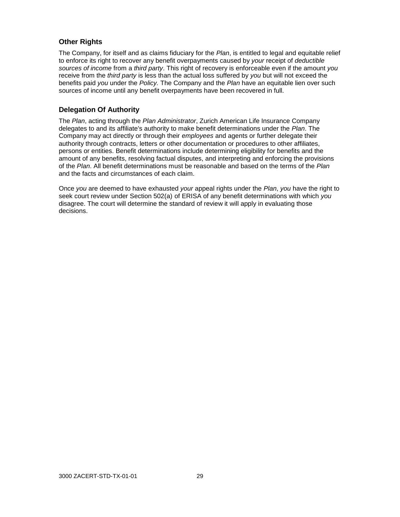## **Other Rights**

The Company, for itself and as claims fiduciary for the *Plan*, is entitled to legal and equitable relief to enforce its right to recover any benefit overpayments caused by *your* receipt of *deductible sources of income* from a *third party*. This right of recovery is enforceable even if the amount *you* receive from the *third party* is less than the actual loss suffered by *you* but will not exceed the benefits paid *you* under the *Policy.* The Company and the *Plan* have an equitable lien over such sources of income until any benefit overpayments have been recovered in full*.*

## **Delegation Of Authority**

The *Plan*, acting through the *Plan Administrator*, Zurich American Life Insurance Company delegates to and its affiliate's authority to make benefit determinations under the *Plan*. The Company may act directly or through their *employees* and agents or further delegate their authority through contracts, letters or other documentation or procedures to other affiliates, persons or entities. Benefit determinations include determining eligibility for benefits and the amount of any benefits, resolving factual disputes, and interpreting and enforcing the provisions of the *Plan*. All benefit determinations must be reasonable and based on the terms of the *Plan* and the facts and circumstances of each claim.

Once *you* are deemed to have exhausted *your* appeal rights under the *Plan*, *you* have the right to seek court review under Section 502(a) of ERISA of any benefit determinations with which *you* disagree. The court will determine the standard of review it will apply in evaluating those decisions.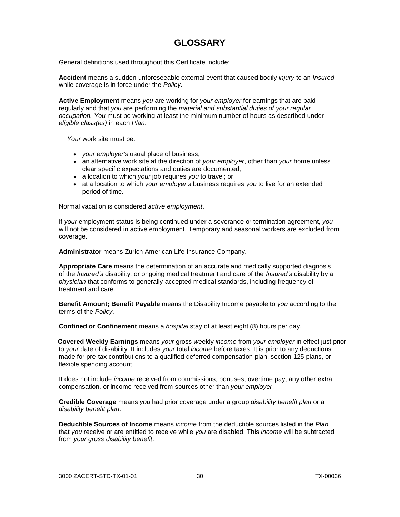# **GLOSSARY**

General definitions used throughout this Certificate include:

**Accident** means a sudden unforeseeable external event that caused bodily *injury* to an *Insured* while coverage is in force under the *Policy*.

**Active Employment** means *you* are working for *your employer* for earnings that are paid regularly and that *you* are performing the *material and substantial duties of your regular occupation. You* must be working at least the minimum number of hours as described under *eligible class(es)* in each *Plan*.

*Your* work site must be:

- *your employer's* usual place of business;
- an alternative work site at the direction of *your employer*, other than *your* home unless clear specific expectations and duties are documented;
- a location to which *your* job requires *you* to travel; or
- at a location to which *your employer's* business requires *you* to live for an extended period of time.

Normal vacation is considered *active employment*.

If *your* employment status is being continued under a severance or termination agreement, *you* will not be considered in active employment. Temporary and seasonal workers are excluded from coverage.

**Administrator** means Zurich American Life Insurance Company.

**Appropriate Care** means the determination of an accurate and medically supported diagnosis of the *Insured's* disability, or ongoing medical treatment and care of the *Insured's* disability by a *physician* that conforms to generally-accepted medical standards, including frequency of treatment and care.

**Benefit Amount; Benefit Payable** means the Disability Income payable to *you* according to the terms of the *Policy*.

**Confined or Confinement** means a *hospital* stay of at least eight (8) hours per day.

 **Covered Weekly Earnings** means *your* gross *we*ekly *income* from *your employer* in effect just prior to *your* date of disability. It includes *your* total *income* before taxes. It is prior to any deductions made for pre-tax contributions to a qualified deferred compensation plan, section 125 plans, or flexible spending account.

 It does not include *income* received from commissions, bonuses, overtime pay, any other extra compensation, or income received from sources other than *your employer*.

**Credible Coverage** means *you* had prior coverage under a group *disability benefit plan* or a *disability benefit plan*.

**Deductible Sources of Income** means *income* from the deductible sources listed in the *Plan* that *you* receive or are entitled to receive while *you* are disabled. This *income* will be subtracted from *your gross disability benefit*.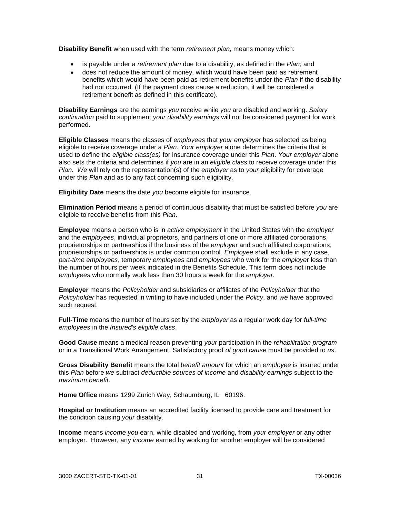**Disability Benefit** when used with the term *retirement plan*, means money which:

- is payable under a *retirement plan* due to a disability, as defined in the *Plan*; and
- does not reduce the amount of money, which would have been paid as retirement benefits which would have been paid as retirement benefits under the *Plan* if the disability had not occurred. (If the payment does cause a reduction, it will be considered a retirement benefit as defined in this certificate).

**Disability Earnings** are the earnings *you* receive while *you* are disabled and working. *Salary continuation* paid to supplement *your disability earnings* will not be considered payment for work performed.

**Eligible Classes** means the classes of *employees* that *your employer* has selected as being eligible to receive coverage under a *Plan*. *Your employer* alone determines the criteria that is used to define the *eligible class(es)* for insurance coverage under this *Plan*. *Your employer* alone also sets the criteria and determines if *you* are in an *eligible class* to receive coverage under this *Plan*. *We* will rely on the representation(s) of the *employer* as to *your* eligibility for coverage under this *Plan* and as to any fact concerning such eligibility.

**Eligibility Date** means the date *you* become eligible for insurance.

**Elimination Period** means a period of continuous disability that must be satisfied before *you* are eligible to receive benefits from this *Plan*.

**Employee** means a person who is in *active employment* in the United States with the *employer*  and the *employees*, individual proprietors, and partners of one or more affiliated corporations, proprietorships or partnerships if the business of the *employe*r and such affiliated corporations, proprietorships or partnerships is under common control. *Employee* shall exclude in any case, *part-time employees*, temporary *employees* and *employees* who work for the *employe*r less than the number of hours per week indicated in the Benefits Schedule. This term does not include *employees* who normally work less than 30 hours a week for the *employer*.

**Employer** means the *Policyholder* and subsidiaries or affiliates of the *Policyholder* that the *Policyholder* has requested in writing to have included under the *Policy*, and *we* have approved such request.

**Full-Time** means the number of hours set by the *employer* as a regular work day for *full-time employees* in the *Insured's eligible class*.

**Good Cause** means a medical reason preventing *your* participation in the *rehabilitation program*  or in a Transitional Work Arrangement. Satisfactory proof *of good cause* must be provided to *us*.

**Gross Disability Benefit** means the total *benefit amount* for which an *employee* is insured under this *Plan* before *we* subtract *deductible sources of income* and *disability earnings* subject to the *maximum benefit*.

Home Office means 1299 Zurich Way, Schaumburg, IL 60196.

**Hospital or Institution** means an accredited facility licensed to provide care and treatment for the condition causing *your* disability.

**Income** means *income you* earn, while disabled and working, from *your employer* or any other employer. However, any *income* earned by working for another employer will be considered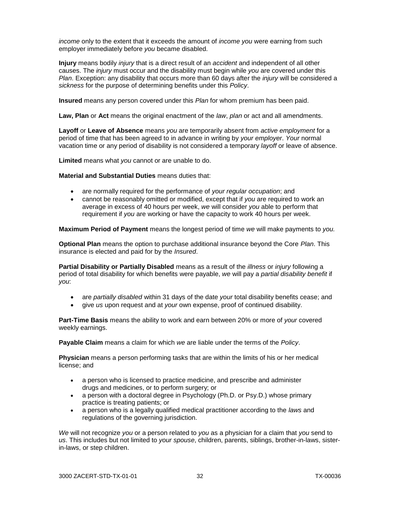*income* only to the extent that it exceeds the amount of *income you* were earning from such employer immediately before *you* became disabled.

**Injury** means bodily *injury* that is a direct result of an *accident* and independent of all other causes. The *injury* must occur and the disability must begin while *you* are covered under this *Plan*. Exception: any disability that occurs more than 60 days after the *injury* will be considered a *sickness* for the purpose of determining benefits under this *Policy*.

**Insured** means any person covered under this *Plan* for whom premium has been paid.

**Law, Plan** or **Act** means the original enactment of the *law*, *plan* or act and all amendments.

**Layoff** or **Leave of Absence** means *you* are temporarily absent from *active employment* for a period of time that has been agreed to in advance in writing by *your employer*. *Your* normal vacation time or any period of disability is not considered a temporary *layoff* or leave of absence.

**Limited** means what *you* cannot or are unable to do.

**Material and Substantial Duties** means duties that:

- are normally required for the performance of *your regular occupation*; and
- cannot be reasonably omitted or modified, except that if *you* are required to work an average in excess of 40 hours per week, *we* will consider *you* able to perform that requirement if *you* are working or have the capacity to work 40 hours per week.

**Maximum Period of Payment** means the longest period of time *we* will make payments to *you.*

**Optional Plan** means the option to purchase additional insurance beyond the Core *Plan*. This insurance is elected and paid for by the *Insured*.

**Partial Disability or Partially Disabled** means as a result of the *illness* or *injury* following a period of total disability for which benefits were payable, *we* will pay a *partial disability benefit* if *you*:

- are *partially disabled* within 31 days of the date *your* total disability benefits cease; and
- give *us* upon request and at *your* own expense, proof of continued disability.

**Part-Time Basis** means the ability to work and earn between 20% or more of *your* covered weekly earnings.

**Payable Claim** means a claim for which *we* are liable under the terms of the *Policy*.

**Physician** means a person performing tasks that are within the limits of his or her medical license; and

- a person who is licensed to practice medicine, and prescribe and administer drugs and medicines, or to perform surgery; or
- a person with a doctoral degree in Psychology (Ph.D. or Psy.D.) whose primary practice is treating patients; or
- a person who is a legally qualified medical practitioner according to the *laws* and regulations of the governing jurisdiction.

*We* will not recognize *you* or a person related to *you* as a physician for a claim that *you* send to *us*. This includes but not limited to *your spouse*, children, parents, siblings, brother-in-laws, sisterin-laws, or step children.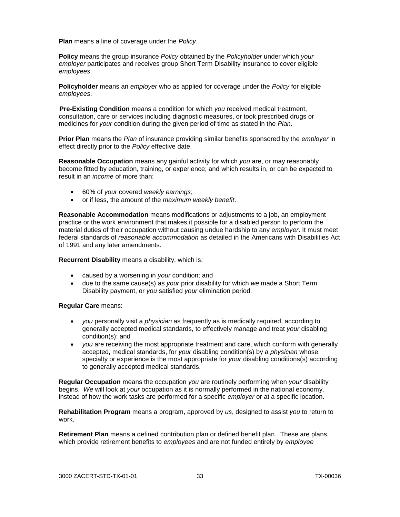**Plan** means a line of coverage under the *Policy*.

**Policy** means the group insurance *Policy* obtained by the *Policyholder* under which *your employer* participates and receives group Short Term Disability insurance to cover eligible *employees*.

**Policyholder** means an *employer* who as applied for coverage under the *Policy* for eligible *employees*.

 **Pre-Existing Condition** means a condition for which *you* received medical treatment, consultation, care or services including diagnostic measures, or took prescribed drugs or medicines for *your* condition during the given period of time as stated in the *Plan*.

**Prior Plan** means the *Plan* of insurance providing similar benefits sponsored by the *employer* in effect directly prior to the *Policy* effective date.

**Reasonable Occupation** means any gainful activity for which *you* are, or may reasonably become fitted by education, training, or experience; and which results in, or can be expected to result in an *income* of more than:

- 60% of *your* covered *weekly earnings*;
- or if less, the amount of the *maximum weekly benefit*.

**Reasonable Accommodation** means modifications or adjustments to a job, an employment practice or the work environment that makes it possible for a disabled person to perform the material duties of their occupation without causing undue hardship to any *employer*. It must meet federal standards of *reasonable accommodation* as detailed in the Americans with Disabilities Act of 1991 and any later amendments.

**Recurrent Disability** means a disability, which is:

- caused by a worsening in *your* condition; and
- due to the same cause(s) as *your* prior disability for which *we* made a Short Term Disability payment, or *you* satisfied *your* elimination period.

#### **Regular Care** means:

- *you* personally visit a *physician* as frequently as is medically required, according to generally accepted medical standards, to effectively manage and treat *your* disabling condition(s); and
- *you* are receiving the most appropriate treatment and care, which conform with generally accepted, medical standards, for *your* disabling condition(s) by a *physician* whose specialty or experience is the most appropriate for *your* disabling conditions(s) according to generally accepted medical standards.

**Regular Occupation** means the occupation *you* are routinely performing when *your* disability begins. *We* will look at *your* occupation as it is normally performed in the national economy, instead of how the work tasks are performed for a specific *employer* or at a specific location.

**Rehabilitation Program** means a program, approved by *us*, designed to assist *you* to return to work.

**Retirement Plan** means a defined contribution plan or defined benefit plan. These are plans, which provide retirement benefits to *employees* and are not funded entirely by *employee*